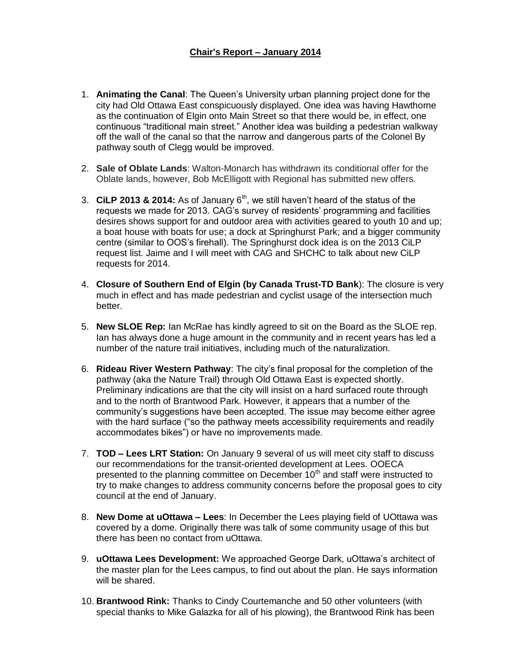#### **Chair's Report – January 2014**

- 1. **Animating the Canal**: The Queen's University urban planning project done for the city had Old Ottawa East conspicuously displayed. One idea was having Hawthorne as the continuation of Elgin onto Main Street so that there would be, in effect, one continuous "traditional main street." Another idea was building a pedestrian walkway off the wall of the canal so that the narrow and dangerous parts of the Colonel By pathway south of Clegg would be improved.
- 2. **Sale of Oblate Lands**: Walton-Monarch has withdrawn its conditional offer for the Oblate lands, however, Bob McElligott with Regional has submitted new offers.
- 3. CiLP 2013 & 2014: As of January  $6<sup>th</sup>$ , we still haven't heard of the status of the requests we made for 2013. CAG's survey of residents' programming and facilities desires shows support for and outdoor area with activities geared to youth 10 and up; a boat house with boats for use; a dock at Springhurst Park; and a bigger community centre (similar to OOS's firehall). The Springhurst dock idea is on the 2013 CiLP request list. Jaime and I will meet with CAG and SHCHC to talk about new CiLP requests for 2014.
- 4. **Closure of Southern End of Elgin (by Canada Trust-TD Bank**): The closure is very much in effect and has made pedestrian and cyclist usage of the intersection much better.
- 5. **New SLOE Rep:** Ian McRae has kindly agreed to sit on the Board as the SLOE rep. Ian has always done a huge amount in the community and in recent years has led a number of the nature trail initiatives, including much of the naturalization.
- 6. **Rideau River Western Pathway**: The city's final proposal for the completion of the pathway (aka the Nature Trail) through Old Ottawa East is expected shortly. Preliminary indications are that the city will insist on a hard surfaced route through and to the north of Brantwood Park. However, it appears that a number of the community's suggestions have been accepted. The issue may become either agree with the hard surface ("so the pathway meets accessibility requirements and readily accommodates bikes") or have no improvements made.
- 7. **TOD – Lees LRT Station:** On January 9 several of us will meet city staff to discuss our recommendations for the transit-oriented development at Lees. OOECA presented to the planning committee on December  $10<sup>th</sup>$  and staff were instructed to try to make changes to address community concerns before the proposal goes to city council at the end of January.
- 8. **New Dome at uOttawa – Lees**: In December the Lees playing field of UOttawa was covered by a dome. Originally there was talk of some community usage of this but there has been no contact from uOttawa.
- 9. **uOttawa Lees Development:** We approached George Dark, uOttawa's architect of the master plan for the Lees campus, to find out about the plan. He says information will be shared.
- 10. **Brantwood Rink:** Thanks to Cindy Courtemanche and 50 other volunteers (with special thanks to Mike Galazka for all of his plowing), the Brantwood Rink has been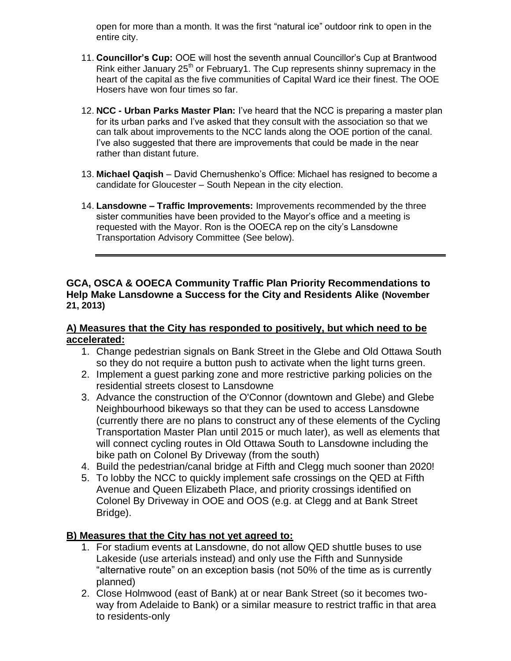open for more than a month. It was the first "natural ice" outdoor rink to open in the entire city.

- 11. **Councillor's Cup:** OOE will host the seventh annual Councillor's Cup at Brantwood Rink either January  $25<sup>th</sup>$  or February1. The Cup represents shinny supremacy in the heart of the capital as the five communities of Capital Ward ice their finest. The OOE Hosers have won four times so far.
- 12. **NCC - Urban Parks Master Plan:** I've heard that the NCC is preparing a master plan for its urban parks and I've asked that they consult with the association so that we can talk about improvements to the NCC lands along the OOE portion of the canal. I've also suggested that there are improvements that could be made in the near rather than distant future.
- 13. **Michael Qaqish** David Chernushenko's Office: Michael has resigned to become a candidate for Gloucester – South Nepean in the city election.
- 14. **Lansdowne – Traffic Improvements:** Improvements recommended by the three sister communities have been provided to the Mayor's office and a meeting is requested with the Mayor. Ron is the OOECA rep on the city's Lansdowne Transportation Advisory Committee (See below).

#### **GCA, OSCA & OOECA Community Traffic Plan Priority Recommendations to Help Make Lansdowne a Success for the City and Residents Alike (November 21, 2013)**

## **A) Measures that the City has responded to positively, but which need to be accelerated:**

- 1. Change pedestrian signals on Bank Street in the Glebe and Old Ottawa South so they do not require a button push to activate when the light turns green.
- 2. Implement a guest parking zone and more restrictive parking policies on the residential streets closest to Lansdowne
- 3. Advance the construction of the O'Connor (downtown and Glebe) and Glebe Neighbourhood bikeways so that they can be used to access Lansdowne (currently there are no plans to construct any of these elements of the Cycling Transportation Master Plan until 2015 or much later), as well as elements that will connect cycling routes in Old Ottawa South to Lansdowne including the bike path on Colonel By Driveway (from the south)
- 4. Build the pedestrian/canal bridge at Fifth and Clegg much sooner than 2020!
- 5. To lobby the NCC to quickly implement safe crossings on the QED at Fifth Avenue and Queen Elizabeth Place, and priority crossings identified on Colonel By Driveway in OOE and OOS (e.g. at Clegg and at Bank Street Bridge).

# **B) Measures that the City has not yet agreed to:**

- 1. For stadium events at Lansdowne, do not allow QED shuttle buses to use Lakeside (use arterials instead) and only use the Fifth and Sunnyside "alternative route" on an exception basis (not 50% of the time as is currently planned)
- 2. Close Holmwood (east of Bank) at or near Bank Street (so it becomes twoway from Adelaide to Bank) or a similar measure to restrict traffic in that area to residents-only